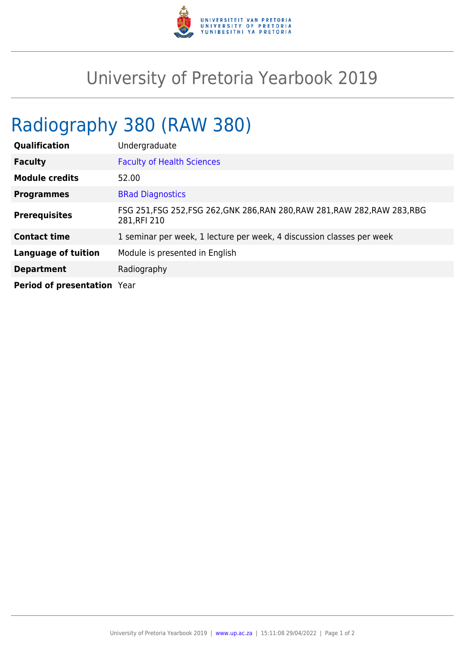

## University of Pretoria Yearbook 2019

## Radiography 380 (RAW 380)

| <b>Qualification</b>        | Undergraduate                                                                               |
|-----------------------------|---------------------------------------------------------------------------------------------|
| <b>Faculty</b>              | <b>Faculty of Health Sciences</b>                                                           |
| <b>Module credits</b>       | 52.00                                                                                       |
| <b>Programmes</b>           | <b>BRad Diagnostics</b>                                                                     |
| <b>Prerequisites</b>        | FSG 251, FSG 252, FSG 262, GNK 286, RAN 280, RAW 281, RAW 282, RAW 283, RBG<br>281, RFI 210 |
| <b>Contact time</b>         | 1 seminar per week, 1 lecture per week, 4 discussion classes per week                       |
| <b>Language of tuition</b>  | Module is presented in English                                                              |
| <b>Department</b>           | Radiography                                                                                 |
| Period of presentation Year |                                                                                             |